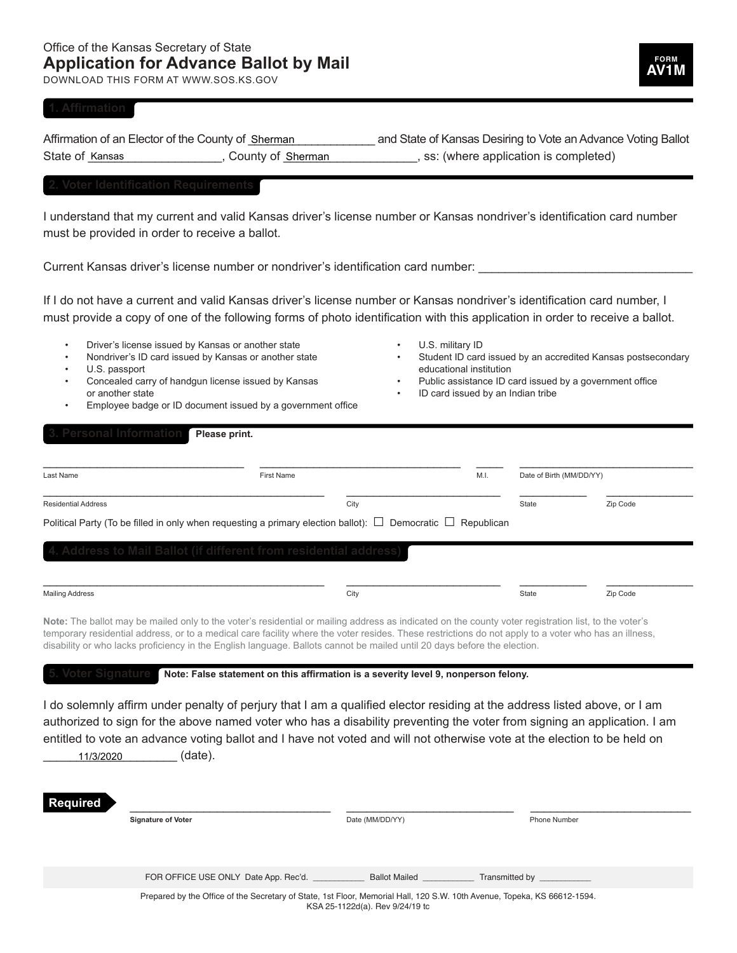DOWNLOAD THIS FORM AT WWW.SOS.KS.GOV

## **FORM AV1M**

| Affirmation of an Elector of the County of Sherman |                   | and State of Kansas Desiring to Vote an Advance Voting Ballot |  |
|----------------------------------------------------|-------------------|---------------------------------------------------------------|--|
| State of Kansas                                    | County of Sherman | , ss: (where application is completed)                        |  |

I understand that my current and valid Kansas driver's license number or Kansas nondriver's identification card number must be provided in order to receive a ballot.

Current Kansas driver's license number or nondriver's identification card number:

If I do not have a current and valid Kansas driver's license number or Kansas nondriver's identification card number, I must provide a copy of one of the following forms of photo identification with this application in order to receive a ballot.

- Driver's license issued by Kansas or another state
- Nondriver's ID card issued by Kansas or another state
- U.S. passport
- Concealed carry of handgun license issued by Kansas or another state
- Employee badge or ID document issued by a government office
- U.S. military ID
- Student ID card issued by an accredited Kansas postsecondary educational institution
- Public assistance ID card issued by a government office
- ID card issued by an Indian tribe

|                                                                   |      |       | Date of Birth (MM/DD/YY) |
|-------------------------------------------------------------------|------|-------|--------------------------|
| <b>Residential Address</b>                                        | City | State | Zip Code                 |
|                                                                   |      |       |                          |
| 4. Address to Mail Ballot (if different from residential address) |      |       |                          |
|                                                                   |      |       |                          |
|                                                                   |      |       |                          |
|                                                                   |      |       |                          |

**5. Voter Signature Note: False statement on this affirmation is a severity level 9, nonperson felony.**

I do solemnly affirm under penalty of perjury that I am a qualified elector residing at the address listed above, or I am authorized to sign for the above named voter who has a disability preventing the voter from signing an application. I am entitled to vote an advance voting ballot and I have not voted and will not otherwise vote at the election to be held on  $(date)$ . 11/3/2020

| −<br>RC<br>iuired |  |  |
|-------------------|--|--|
|                   |  |  |

**Signature of Voter Date (MM/DD/YY)** Date (MM/DD/YY) Phone Number

FOR OFFICE USE ONLY Date App. Rec'd. \_\_\_\_\_\_\_\_\_\_\_\_\_\_\_\_ Ballot Mailed \_\_\_\_\_\_\_\_\_\_\_\_\_ Transmitted by

Prepared by the Office of the Secretary of State, 1st Floor, Memorial Hall, 120 S.W. 10th Avenue, Topeka, KS 66612-1594. KSA 25-1122d(a). Rev 9/24/19 tc